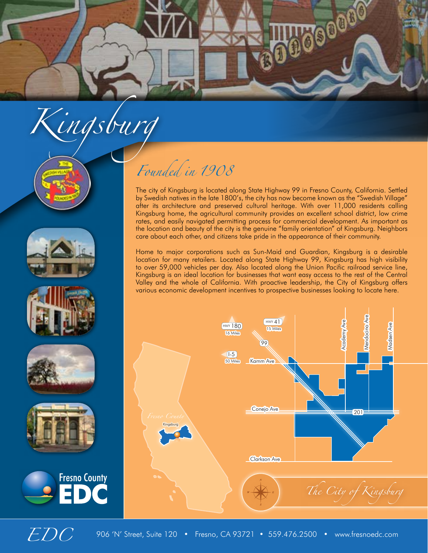

# *Kingsburg*











### *Founded in 1908*

The city of Kingsburg is located along State Highway 99 in Fresno County, California. Settled by Swedish natives in the late 1800's, the city has now become known as the "Swedish Village" after its architecture and preserved cultural heritage. With over 11,000 residents calling Kingsburg home, the agricultural community provides an excellent school district, low crime rates, and easily navigated permitting process for commercial development. As important as the location and beauty of the city is the genuine "family orientation" of Kingsburg. Neighbors care about each other, and citizens take pride in the appearance of their community.

Home to major corporations such as Sun-Maid and Guardian, Kingsburg is a desirable location for many retailers. Located along State Highway 99, Kingsburg has high visibility to over 59,000 vehicles per day. Also located along the Union Pacific railroad service line, Kingsburg is an ideal location for businesses that want easy access to the rest of the Central Valley and the whole of California. With proactive leadership, the City of Kingsburg offers various economic development incentives to prospective businesses looking to locate here.



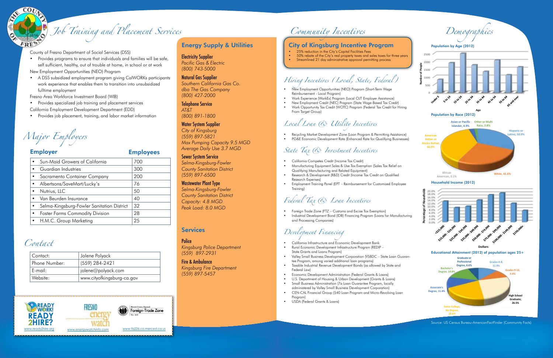### Energy Supply & Utilities

Electricity Supplier *Pacific Gas & Electric (800) 743-5000*

#### Natural Gas Supplier *Southern California Gas Co. dba The Gas Company (800) 427-2000*

Telephone Service *AT&T* 

*(800) 891-1800*

### Water System Supplier

*City of Kingsburg (559) 897-5821 Max Pumping Capacity 9.5 MGD Average Daily Use 3.7 MGD*

### Sewer System Service

*Selma-Kingsburg-Fowler County Sanitation District (559) 897-6500*

#### Wastewater Plant Type *Selma-Kingsburg-Fowler*

*County Sanitation District Capacity: 4.8 MGD Peak Load: 8.0 MGD* 

### **Services**

#### **Police**

*Kingsburg Police Department (559) 897-2931*

#### Fire & Ambulance *Kingsburg Fire Department (559) 897-5457*

County of Fresno Department of Social Services (DSS)

- Provides programs to ensure that individuals and families will be safe, self sufficient, healthy, out of trouble at home, in school or at work New Employment Opportunities (NEO) Program
- A DSS subsidized employment program giving CalWORKs participants work experience that enables them to transition into unsubsidized

fulltime employment

Fresno Area Workforce Investment Board (WIB)

- Provides specialized job training and placement services
- California Employment Development Department (EDD)
- Provides job placement, training, and labor market information



## *Job Training and Placement Services*

*Major Employers*

| <b>Employer</b>                            | <b>Employees</b> |
|--------------------------------------------|------------------|
| Sun-Maid Growers of California             | 700              |
| Guardian Industries                        | 300              |
| Sacramento Container Company               | 200              |
| Albertsons/SaveMart/Lucky's                | 76               |
| Nutrius, LLC                               | 50               |
| Van Beurden Insurance                      | 40               |
| Selma-Kingsburg-Fowler Sanitation District | 32               |
| <b>Foster Farms Commodity Division</b>     | 28               |
| H.M.C. Group Marketing                     | 25               |
|                                            |                  |

| Contact:      | Jolene Polyack             |
|---------------|----------------------------|
| Phone Number: | (559) 284-2421             |
| ' E-mail:     | jolene@polyack.com         |
| Website:      | www.cityofkingsburg-ca.gov |

### *Contact*

### *Community Incentives*



### City of Kingsburg Incentive Program

- 25% reduction in the City's Capital Facilities Fees<br>• 50% rebate of the City's real property taxes and so
- 50% rebate of the City's real property taxes and sales taxes for three years
- Streamlined 21 day administrative approval permitting process

### *Hiring Incentives (Local, State, Federal)*

- New Employment Opportunities (NEO) Program (Short-Term Wage Reimbursement - Local Program)
- Work Experience (WorkEx) Program (Local OJT Employer Assistance)
- New Employment Credit (NEC) Program (State Wage-Based Tax Credit)
- Work Opportunity Tax Credit (WOTC) Program (Federal Tax Credit for Hiring From Target Group)

### *Local Loan & Utility Incentives*

- Recycling Market Development Zone (Loan Program & Permitting Assistance)
- PG&E Economic Development Rate (Enhanced Rate for Qualifying Businesses)

### *State Tax & Investment Incentives*

- California Competes Credit (Income Tax Credit)
- Manufacturing Equipment Sales & Use Tax Exemption (Sales Tax Relief on Qualifying Manufacturing and Related Equipment)
- Research & Development (R&D) Credit (Income Tax Credit on Qualified Research Expenses)
- Employment Training Panel (EPT Reimbursement for Customized Employee Training)



Source: US Census Bureau-AmericanFactFinder (Community Facts)

### *Federal Tax & Loan Incentives*

- Foreign Trade Zone (FTZ Customs and Excise Tax Exemption)
- Industrial Development Bond (IDB) Financing Program (Loans for Manufacturing and Processing Companies)

### *Development Financing*

- California Infrastructure and Economic Development Bank • Rural Economic Development Infrastructure Progrsm (REDIP –
- State Grants and Loans Program) • Valley Small Business Development Corporation (VSBDC – State Loan Guaran-
- tee Program, among varied additional loan programs) • Taxable Industrial Revenue Development Bonds (as allowed by State and
- Federal Law)
- Economic Development Administration (Federal Grants & Loans)
- U.S. Department of Housing & Urban Development (Grants & Loans) • Small Business Administration (7a Loan Guarantee Program, locally administered by Valley Small Business Development Corporation)
- CEN-CAL Financial Group (540 Loan Program and Micro-Revolving Loan Program)
- USDA (Federal Grants & Loans)